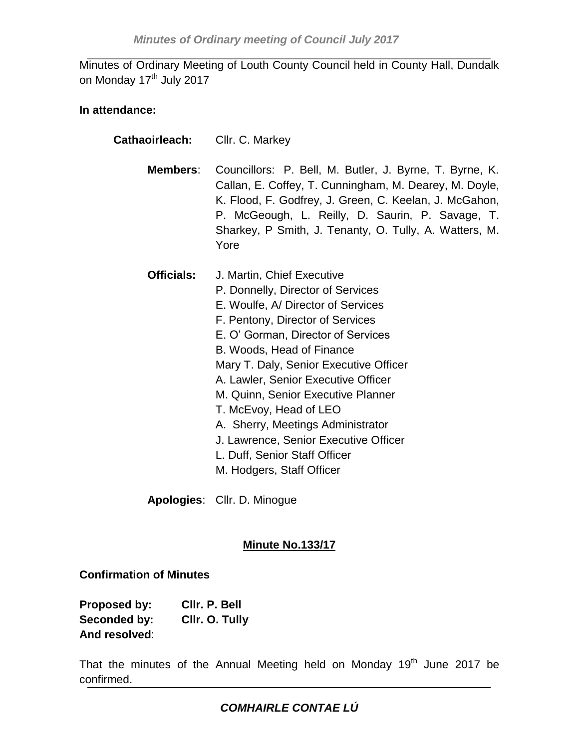Minutes of Ordinary Meeting of Louth County Council held in County Hall, Dundalk on Monday 17<sup>th</sup> July 2017

#### **In attendance:**

- **Cathaoirleach:** Cllr. C. Markey
	- **Members**: Councillors: P. Bell, M. Butler, J. Byrne, T. Byrne, K. Callan, E. Coffey, T. Cunningham, M. Dearey, M. Doyle, K. Flood, F. Godfrey, J. Green, C. Keelan, J. McGahon, P. McGeough, L. Reilly, D. Saurin, P. Savage, T. Sharkey, P Smith, J. Tenanty, O. Tully, A. Watters, M. Yore
	- **Officials:** J. Martin, Chief Executive P. Donnelly, Director of Services E. Woulfe, A/ Director of Services F. Pentony, Director of Services E. O' Gorman, Director of Services B. Woods, Head of Finance Mary T. Daly, Senior Executive Officer A. Lawler, Senior Executive Officer M. Quinn, Senior Executive Planner T. McEvoy, Head of LEO A. Sherry, Meetings Administrator J. Lawrence, Senior Executive Officer L. Duff, Senior Staff Officer M. Hodgers, Staff Officer

# **Minute No.133/17**

# **Confirmation of Minutes**

| Proposed by:  | CIIr. P. Bell  |
|---------------|----------------|
| Seconded by:  | Cllr. O. Tully |
| And resolved: |                |

That the minutes of the Annual Meeting held on Monday 19 $^{th}$  June 2017 be confirmed.

**Apologies**: Cllr. D. Minogue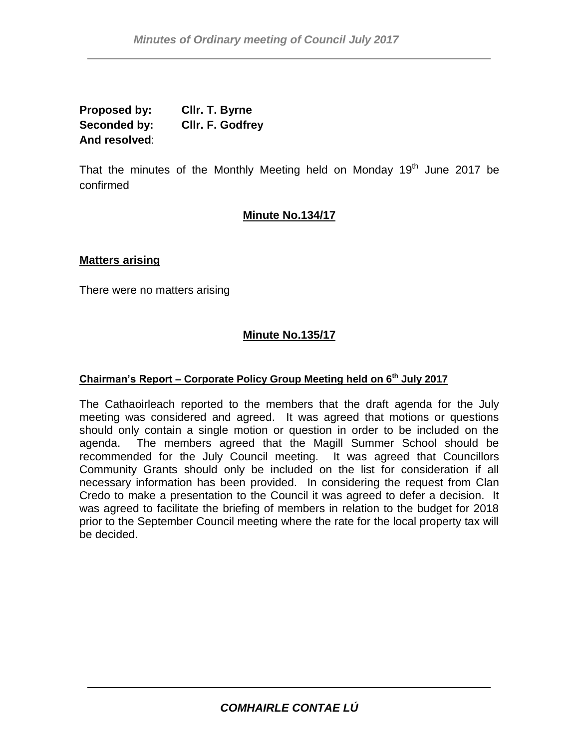**Proposed by: Cllr. T. Byrne Seconded by: Cllr. F. Godfrey And resolved**:

That the minutes of the Monthly Meeting held on Monday 19<sup>th</sup> June 2017 be confirmed

# **Minute No.134/17**

#### **Matters arising**

There were no matters arising

# **Minute No.135/17**

#### **Chairman's Report – Corporate Policy Group Meeting held on 6th July 2017**

The Cathaoirleach reported to the members that the draft agenda for the July meeting was considered and agreed. It was agreed that motions or questions should only contain a single motion or question in order to be included on the agenda. The members agreed that the Magill Summer School should be recommended for the July Council meeting. It was agreed that Councillors Community Grants should only be included on the list for consideration if all necessary information has been provided. In considering the request from Clan Credo to make a presentation to the Council it was agreed to defer a decision. It was agreed to facilitate the briefing of members in relation to the budget for 2018 prior to the September Council meeting where the rate for the local property tax will be decided.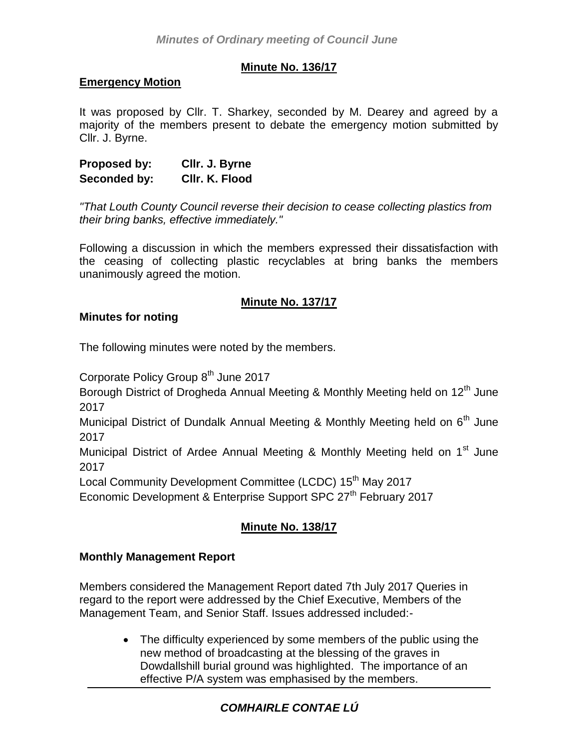# **Minute No. 136/17**

### **Emergency Motion**

It was proposed by Cllr. T. Sharkey, seconded by M. Dearey and agreed by a majority of the members present to debate the emergency motion submitted by Cllr. J. Byrne.

**Proposed by: Cllr. J. Byrne Seconded by: Cllr. K. Flood**

*"That Louth County Council reverse their decision to cease collecting plastics from their bring banks, effective immediately."*

Following a discussion in which the members expressed their dissatisfaction with the ceasing of collecting plastic recyclables at bring banks the members unanimously agreed the motion.

# **Minute No. 137/17**

#### **Minutes for noting**

The following minutes were noted by the members.

Corporate Policy Group 8<sup>th</sup> June 2017

Borough District of Drogheda Annual Meeting & Monthly Meeting held on 12<sup>th</sup> June 2017

Municipal District of Dundalk Annual Meeting & Monthly Meeting held on  $6<sup>th</sup>$  June 2017

Municipal District of Ardee Annual Meeting & Monthly Meeting held on 1<sup>st</sup> June 2017

Local Community Development Committee (LCDC) 15<sup>th</sup> May 2017

Economic Development & Enterprise Support SPC 27<sup>th</sup> February 2017

# **Minute No. 138/17**

# **Monthly Management Report**

Members considered the Management Report dated 7th July 2017 Queries in regard to the report were addressed by the Chief Executive, Members of the Management Team, and Senior Staff. Issues addressed included:-

> • The difficulty experienced by some members of the public using the new method of broadcasting at the blessing of the graves in Dowdallshill burial ground was highlighted. The importance of an effective P/A system was emphasised by the members.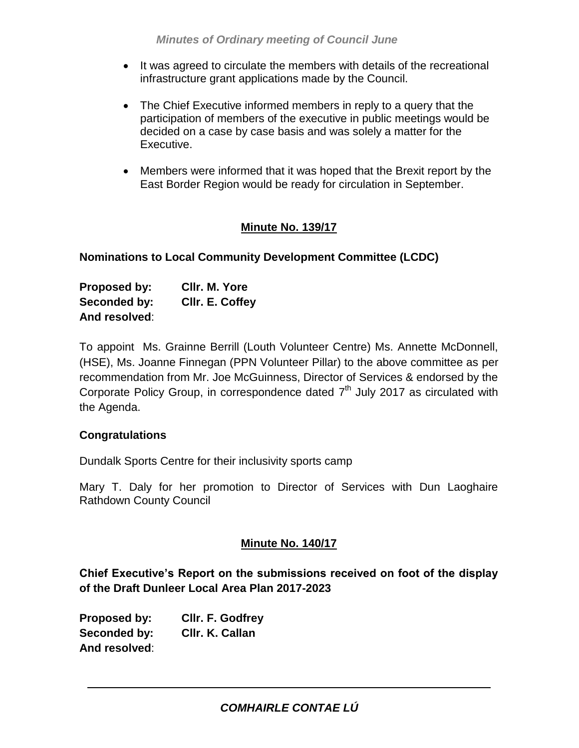- It was agreed to circulate the members with details of the recreational infrastructure grant applications made by the Council.
- The Chief Executive informed members in reply to a query that the participation of members of the executive in public meetings would be decided on a case by case basis and was solely a matter for the Executive.
- Members were informed that it was hoped that the Brexit report by the East Border Region would be ready for circulation in September.

# **Minute No. 139/17**

### **Nominations to Local Community Development Committee (LCDC)**

| Proposed by:  | CIIr. M. Yore   |
|---------------|-----------------|
| Seconded by:  | CIIr. E. Coffey |
| And resolved: |                 |

To appoint Ms. Grainne Berrill (Louth Volunteer Centre) Ms. Annette McDonnell, (HSE), Ms. Joanne Finnegan (PPN Volunteer Pillar) to the above committee as per recommendation from Mr. Joe McGuinness, Director of Services & endorsed by the Corporate Policy Group, in correspondence dated  $7<sup>th</sup>$  July 2017 as circulated with the Agenda.

#### **Congratulations**

Dundalk Sports Centre for their inclusivity sports camp

Mary T. Daly for her promotion to Director of Services with Dun Laoghaire Rathdown County Council

#### **Minute No. 140/17**

**Chief Executive's Report on the submissions received on foot of the display of the Draft Dunleer Local Area Plan 2017-2023**

**Proposed by: Cllr. F. Godfrey Seconded by: Cllr. K. Callan And resolved**: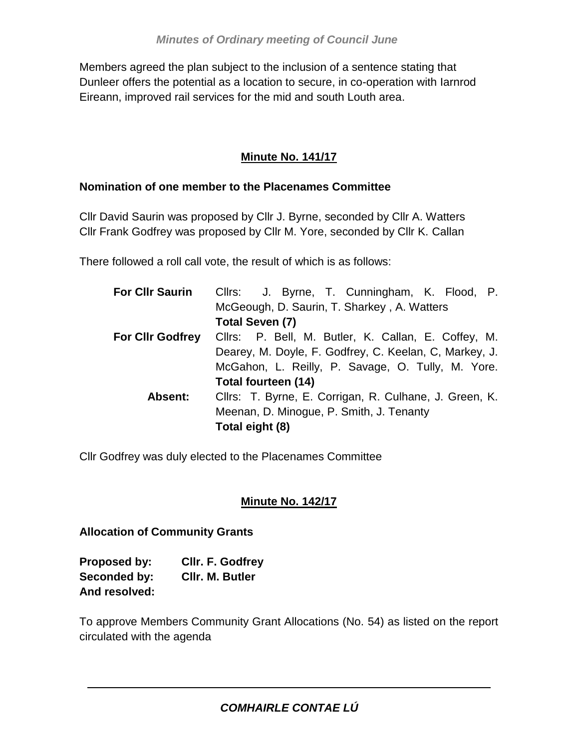Members agreed the plan subject to the inclusion of a sentence stating that Dunleer offers the potential as a location to secure, in co-operation with Iarnrod Eireann, improved rail services for the mid and south Louth area.

# **Minute No. 141/17**

### **Nomination of one member to the Placenames Committee**

Cllr David Saurin was proposed by Cllr J. Byrne, seconded by Cllr A. Watters Cllr Frank Godfrey was proposed by Cllr M. Yore, seconded by Cllr K. Callan

There followed a roll call vote, the result of which is as follows:

| <b>For Cllr Saurin</b>  | Cllrs: J. Byrne, T. Cunningham, K. Flood, P.           |  |
|-------------------------|--------------------------------------------------------|--|
|                         | McGeough, D. Saurin, T. Sharkey, A. Watters            |  |
|                         | Total Seven (7)                                        |  |
| <b>For Cllr Godfrey</b> | Cllrs: P. Bell, M. Butler, K. Callan, E. Coffey, M.    |  |
|                         | Dearey, M. Doyle, F. Godfrey, C. Keelan, C, Markey, J. |  |
|                         | McGahon, L. Reilly, P. Savage, O. Tully, M. Yore.      |  |
|                         | Total fourteen (14)                                    |  |
| Absent:                 | Cllrs: T. Byrne, E. Corrigan, R. Culhane, J. Green, K. |  |
|                         | Meenan, D. Minogue, P. Smith, J. Tenanty               |  |
|                         | Total eight (8)                                        |  |

Cllr Godfrey was duly elected to the Placenames Committee

# **Minute No. 142/17**

# **Allocation of Community Grants**

| Proposed by:  | <b>CIIr. F. Godfrey</b> |
|---------------|-------------------------|
| Seconded by:  | CIIr. M. Butler         |
| And resolved: |                         |

To approve Members Community Grant Allocations (No. 54) as listed on the report circulated with the agenda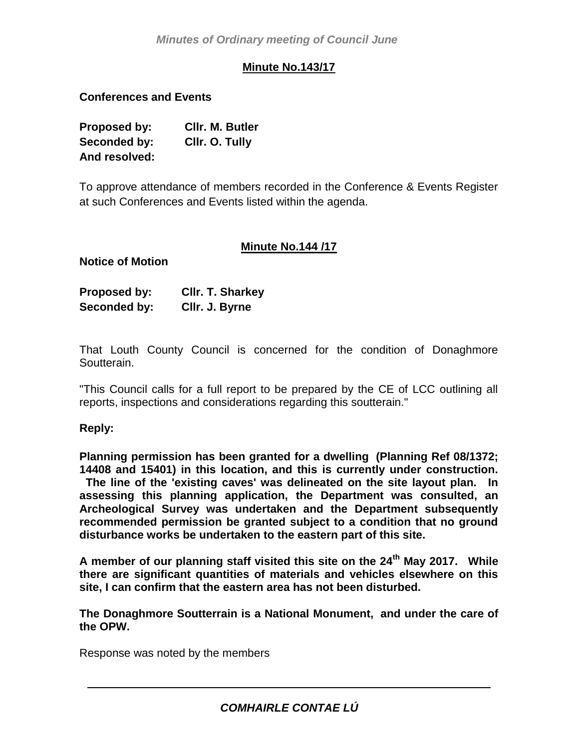# **Minute No.143/17**

**Conferences and Events**

| Proposed by:  | CIIr. M. Butler |
|---------------|-----------------|
| Seconded by:  | Cilr. O. Tully  |
| And resolved: |                 |

To approve attendance of members recorded in the Conference & Events Register at such Conferences and Events listed within the agenda.

# **Minute No.144 /17**

**Notice of Motion**

| Proposed by: | <b>CIIr. T. Sharkey</b> |
|--------------|-------------------------|
| Seconded by: | Cllr. J. Byrne          |

That Louth County Council is concerned for the condition of Donaghmore Soutterain.

"This Council calls for a full report to be prepared by the CE of LCC outlining all reports, inspections and considerations regarding this soutterain."

#### **Reply:**

**Planning permission has been granted for a dwelling (Planning Ref 08/1372; 14408 and 15401) in this location, and this is currently under construction. The line of the 'existing caves' was delineated on the site layout plan. In assessing this planning application, the Department was consulted, an Archeological Survey was undertaken and the Department subsequently recommended permission be granted subject to a condition that no ground disturbance works be undertaken to the eastern part of this site.**

**A member of our planning staff visited this site on the 24th May 2017. While there are significant quantities of materials and vehicles elsewhere on this site, I can confirm that the eastern area has not been disturbed.** 

**The Donaghmore Soutterrain is a National Monument, and under the care of the OPW.**

Response was noted by the members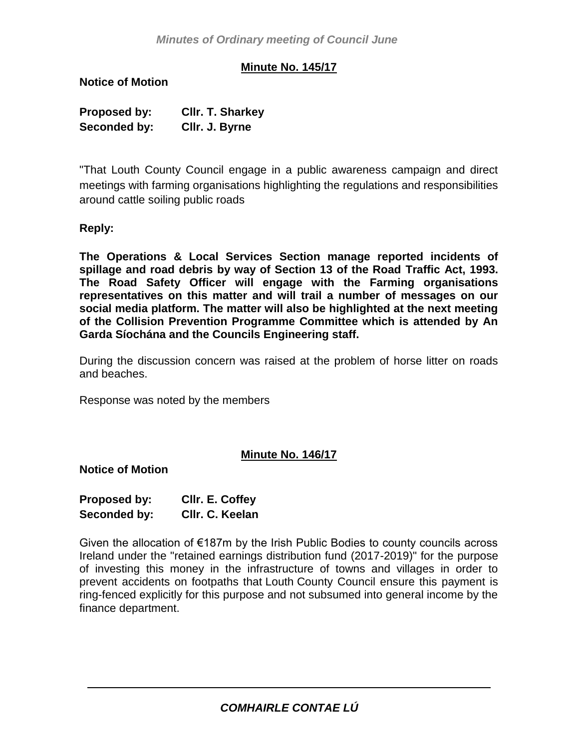### **Minute No. 145/17**

**Notice of Motion**

| Proposed by: | <b>CIIr. T. Sharkey</b> |
|--------------|-------------------------|
| Seconded by: | Cllr. J. Byrne          |

"That Louth County Council engage in a public awareness campaign and direct meetings with farming organisations highlighting the regulations and responsibilities around cattle soiling public roads

**Reply:**

**The Operations & Local Services Section manage reported incidents of spillage and road debris by way of Section 13 of the Road Traffic Act, 1993. The Road Safety Officer will engage with the Farming organisations representatives on this matter and will trail a number of messages on our social media platform. The matter will also be highlighted at the next meeting of the Collision Prevention Programme Committee which is attended by An Garda Síochána and the Councils Engineering staff.**

During the discussion concern was raised at the problem of horse litter on roads and beaches.

Response was noted by the members

#### **Minute No. 146/17**

**Notice of Motion**

| Proposed by: | CIIr. E. Coffey |
|--------------|-----------------|
| Seconded by: | Cllr. C. Keelan |

Given the allocation of €187m by the Irish Public Bodies to county councils across Ireland under the "retained earnings distribution fund (2017-2019)" for the purpose of investing this money in the infrastructure of towns and villages in order to prevent accidents on footpaths that Louth County Council ensure this payment is ring-fenced explicitly for this purpose and not subsumed into general income by the finance department.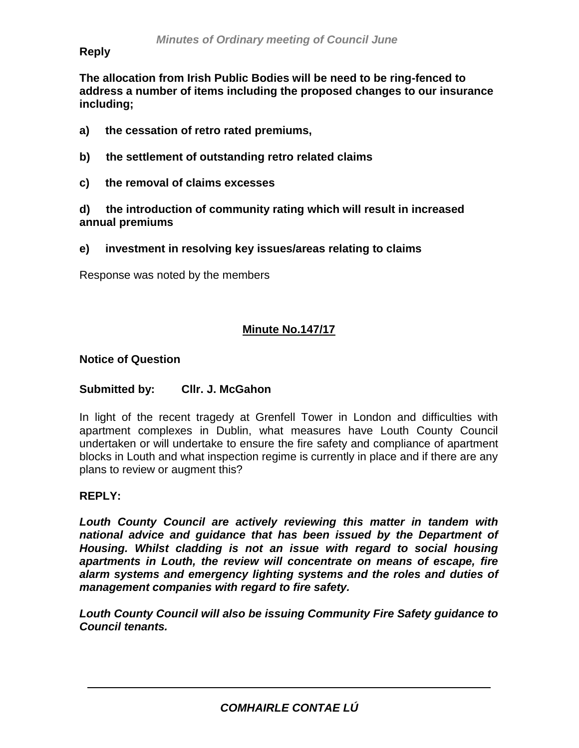#### **Reply** *2016*

**The allocation from Irish Public Bodies will be need to be ring-fenced to address a number of items including the proposed changes to our insurance including;**

- **a) the cessation of retro rated premiums,**
- **b) the settlement of outstanding retro related claims**
- **c) the removal of claims excesses**

**d) the introduction of community rating which will result in increased annual premiums**

**e) investment in resolving key issues/areas relating to claims**

Response was noted by the members

# **Minute No.147/17**

#### **Notice of Question**

#### **Submitted by: Cllr. J. McGahon**

In light of the recent tragedy at Grenfell Tower in London and difficulties with apartment complexes in Dublin, what measures have Louth County Council undertaken or will undertake to ensure the fire safety and compliance of apartment blocks in Louth and what inspection regime is currently in place and if there are any plans to review or augment this?

#### **REPLY:**

*Louth County Council are actively reviewing this matter in tandem with national advice and guidance that has been issued by the Department of Housing. Whilst cladding is not an issue with regard to social housing apartments in Louth, the review will concentrate on means of escape, fire alarm systems and emergency lighting systems and the roles and duties of management companies with regard to fire safety.*

*Louth County Council will also be issuing Community Fire Safety guidance to Council tenants.*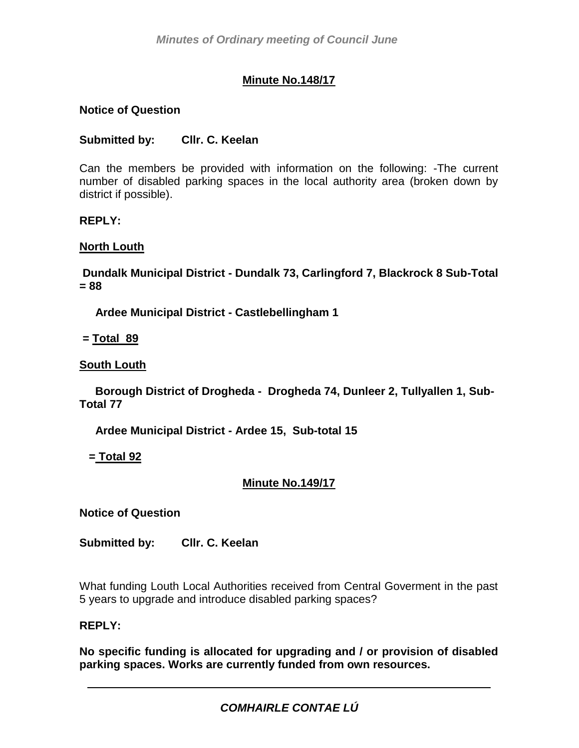# **Minute No.148/17**

### **Notice of Question**

### **Submitted by: Cllr. C. Keelan**

Can the members be provided with information on the following: -The current number of disabled parking spaces in the local authority area (broken down by district if possible).

#### **REPLY:**

#### **North Louth**

**Dundalk Municipal District - Dundalk 73, Carlingford 7, Blackrock 8 Sub-Total = 88** 

 **Ardee Municipal District - Castlebellingham 1**

**= Total 89**

### **South Louth**

 **Borough District of Drogheda - Drogheda 74, Dunleer 2, Tullyallen 1, Sub-Total 77**

 **Ardee Municipal District - Ardee 15, Sub-total 15**

 **= Total 92**

# **Minute No.149/17**

**Notice of Question**

**Submitted by: Cllr. C. Keelan**

What funding Louth Local Authorities received from Central Goverment in the past 5 years to upgrade and introduce disabled parking spaces?

#### **REPLY:**

**No specific funding is allocated for upgrading and / or provision of disabled parking spaces. Works are currently funded from own resources.**